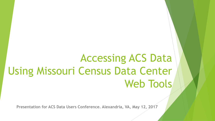# Accessing ACS Data Using Missouri Census Data Center Web Tools

**Presentation for ACS Data Users Conference. Alexandria, VA, May 12, 2017**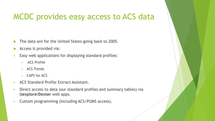## MCDC provides easy access to ACS data

- The data are for the United States going back to 2005.
- Access is provided via:
- Easy web applications for displaying standard profiles:
	- **ACS Profile**
	- **ACS Trends**
	- CAPS for ACS
- ACS Standard Profile Extract Assistant.
- Direct access to data (our standard profiles and summary tables) via **Uexplore/Dexter** web apps.
- Custom programming (including ACS/PUMS access).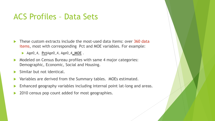### ACS Profiles – Data Sets

- These custom extracts include the most-used data items: over 360 data items, most with corresponding Pct and MOE variables. For example:
	- Age0\_4, **Pct**Age0\_4, Age0\_4**\_MOE** .
- Modeled on Census Bureau profiles with same 4 major categories: Demographic, Economic, Social and Housing.
- Similar but not identical.
- Variables are derived from the Summary tables. MOEs estimated.
- Enhanced geography variables including internal point lat-long and areas.
- 2010 census pop count added for most geographies.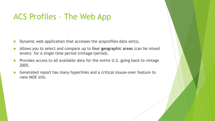## ACS Profiles – The Web App

- **Dynamic web application that accesses the acsprofiles data set(s).**
- Allows you to select and compare up to **four geographic areas** (can be mixed levels) for a single time period (vintage/period).
- Provides access to all available data for the entire U.S. going back to vintage 2005.
- Generated report has many hyperlinks and a critical mouse-over feature to view MOE info.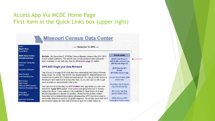#### Access App Via MCDC Home Page First Item in the Quick Links box (upper right)

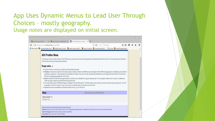#### App Uses Dynamic Menus to Lead User Through Choices – mostly geography. Usage notes are displayed on initial screen.

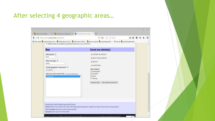#### After selecting 4 geographic areas…

| O a https://census.missouri.edu/acs/profiles/                                                                                                                                                             | Q. Search<br>☆ 自<br>2 90%<br>$\alpha$                                                                                                                                                            |  |  |
|-----------------------------------------------------------------------------------------------------------------------------------------------------------------------------------------------------------|--------------------------------------------------------------------------------------------------------------------------------------------------------------------------------------------------|--|--|
| . Additional tips are available by clicking the help icons ( .) on the form.                                                                                                                              | Most Visited U. Uexplore/Dexter Hom The MABLE/Geocorr14 Ver The What's New at MCDC The Index of /sastools The /pub/data/acs2014 -  6. todo list The acs2015/basetbls/Varl                        |  |  |
| <b>Menu</b>                                                                                                                                                                                               | Current area selection(s):                                                                                                                                                                       |  |  |
| Select period:<br>2015<br>Select area type: 14<br>Nation<br>Include geographic components?<br>No (default) ~<br>Select up to four areas (in all): (or, show a lot of these press)<br><b>United States</b> | Columbia city, Missouri<br>X Boone County, Missouri<br>X Missouri<br><b>X</b> United States<br>Show subjects:<br>Demographic<br>Economic<br>Social<br>Housing                                    |  |  |
| [Sample profile report] (Detailed usage notes) [Tutorial]<br>Link to this page: http://census.missouri.edu/acs/profiles/<br>Generated: Sat, 01 Apr 2017 10:19:34 -0500.                                   | Clear selections & start over<br>Generate report<br>Citation: Missouri Census Data Center. (2017). ACS Profiles (dataset application). Available from https://census.missouri.edu/acs/profiles/. |  |  |

on created by the Office of Social and Fronomic Data Analysis (OSEDA) under contract with the Missouri Census Data Center (MCDC)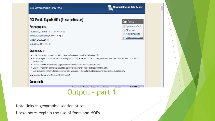#### **MCDC American Community Survey Profiles**



#### ACS Profile Report: 2015 (1-year estimates)

#### For geographies:

Columbia city, Missouri (16000US2915670)

Boone County, Missouri (05000US29019)

Missouri (04000US29)

United States (01000US)

#### **Usage notes**

- . Hover mouse pointer over a value for one second to see MOE/confidence interval info.
- . Relative margins of error are also indicated by number font. BOLD values: RMOE < 15%; NORMAL values: 15% ≤ RMOE < 35%; LIGHT values: RMOE > 35%.
- . Click the calendar icon next to a geography name (above) to see trend data for that area.
- . Click the small chart icon next to a subtitle (below) to view chart(s) of selected data from that table.
- . Click a reference table link to see underlying data (provided by the US Census Bureau's American FactFinder application).

Jump to section: [Demographic] [Economic] [Social] [Housing]

#### **Demographic**

Columbia city. Missouri Boone County. Missouri **United States Missouri** 

### Output – part 1

Note links in geographic section at top.

Usage notes explain the use of fonts and MOEs.

#### Other formats

Export data to Excel PDF version Variable metadata El Extract data via Dexter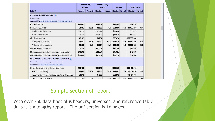|                                                                                                                                                               | Columbia city,<br><b>Missouri</b> |                | <b>Boone County.</b><br><b>Missouri</b> |                | <b>Missouri</b> |      | <b>United States</b> |                |
|---------------------------------------------------------------------------------------------------------------------------------------------------------------|-----------------------------------|----------------|-----------------------------------------|----------------|-----------------|------|----------------------|----------------|
| <b>Subject</b>                                                                                                                                                | <b>Number</b>                     | <b>Percent</b> | <b>Number</b>                           | <b>Percent</b> | Number Percent  |      | <b>Number</b>        | <b>Percent</b> |
| <b>E3. OTHER INCOME MEASURES</b><br>Universe: Various<br>Reference tables: B19301 B11010 B19202 B19214 B11001 B19325 B20017                                   |                                   |                |                                         |                |                 |      |                      |                |
| Per-capita income                                                                                                                                             | \$25,995                          |                | \$26,609                                |                | \$27,384        |      | \$29,979             |                |
| Nonfamily households                                                                                                                                          | 24.683                            | 53.2           | 32.053                                  | 46.4           | 854.881         | 36.0 | 40,677,496           | 34.4           |
| Median nonfamily income                                                                                                                                       | \$24.970                          |                | \$28,222                                |                | \$30,092        |      | \$33,617             |                |
| Mean nonfamily income                                                                                                                                         | \$39,239                          |                | \$41,628                                |                | \$42,538        |      | \$49,834             |                |
| All full-time workers                                                                                                                                         | 40,189                            |                | 60.294                                  |                | 2,062,094       |      | 106,358,684          |                |
| All male full-time workers                                                                                                                                    | 21,537                            | 53.6           | 32,020                                  | 53.1           | 1.146.474       | 55.6 | 61,032,256           | 57.4           |
| All female full-time workers                                                                                                                                  | 18,652                            | 46.4           | 28,274                                  | 46.9           | 915,620         | 44.4 | 45,326,428           | 42.6           |
| Median earnings for workers                                                                                                                                   | \$24,998                          |                | \$27,552                                |                | \$30,139        |      | \$31,394             |                |
| Median earnings for male full-time, year-round workers                                                                                                        | \$41,265                          |                | \$42.334                                |                | \$45.897        |      | \$49.938             |                |
| Median earnings for female full-time, year-round workers                                                                                                      | \$37,886                          |                | \$37,809                                |                | \$35.759        |      | \$39,940             |                |
| E4. POVERTY STATUS OVER THE LAST 12 MONTHS<br>Universe: Persons for whom poverty status is determined<br>Reference tables: 817001 817021 817010 817007 C17002 |                                   |                |                                         |                |                 |      |                      |                |
| Persons for whom poverty status is determined                                                                                                                 | 110,123                           |                | 165.818                                 |                | 5,901,967       |      | 313,476,416          |                |
| Persons below poverty                                                                                                                                         | 27,040                            | 24.6           | 30,604                                  | 18.5           | 875,495         | 14.8 | 46,153,076           | 14.7           |
| Persons under 18 for whom poverty status is determined                                                                                                        | 21,519                            |                | 35,592                                  |                | 1,362,918       |      | 72,454,786           |                |
| Persons under 18 in poverty                                                                                                                                   | 3.304                             | 15.4           | 3.718                                   | 10.4           | 275,711         | 20.2 | 15,000,273           | 20.7           |

#### Sample section of report

With over 350 data lines plus headers, universes, and reference table links it is a lengthy report. The pdf version is 16 pages.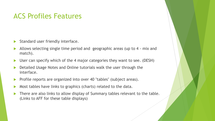### ACS Profiles Features

- $\blacktriangleright$  Standard user friendly interface.
- Allows selecting single time period and geographic areas (up to 4 mix and match).
- ▶ User can specify which of the 4 major categories they want to see. (DESH)
- Detailed Usage Notes and Online tutorials walk the user through the interface.
- **Profile reports are organized into over 40 "tables" (subject areas).**
- Most tables have links to graphics (charts) related to the data.
- There are also links to allow display of Summary tables relevant to the table. (Links to AFF for these table displays)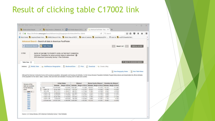## Result of clicking table C17002 link

| the gast from copiers goodmarks, book twen                                                                                                                           |               | $\Box$                                  |
|----------------------------------------------------------------------------------------------------------------------------------------------------------------------|---------------|-----------------------------------------|
| X 3 http://mcdc.m20iabels.bd X 3 4CS Profile Report: 2015 / X 4 American FactFinder - Res., X +<br>Device intract Results                                            |               |                                         |
| ← © ● https://factfinder.census.gov/faces/tableservices/jsf/pages/productview.xhtml?src=bkmk                                                                         | C Q Search    | ✿<br>自                                  |
| 2 Most Visited Us Uexplore/Dexter Hom Us MABLE/Geocom14 Ver Us What's New at MCDC Us Index of /sastools Us /pub/data/acs2014 - c foodo list Us acs2015/basetbls/Verl |               |                                         |
| Advanced Search - Search all data in American FactFinder                                                                                                             |               |                                         |
| Advanced Search 2 Table Viewer                                                                                                                                       | Result 1 of 1 | <b>VIEW ALL AS POP</b>                  |
|                                                                                                                                                                      |               |                                         |
| C17002<br>RATIO OF INCOME TO POVERTY LEVEL IN THE PAST 12 MONTHS.                                                                                                    |               |                                         |
| Universe: Population for whom poverty status is determined<br>2015 American Community Survey 1-Year Estimates                                                        |               |                                         |
|                                                                                                                                                                      |               |                                         |
| Table View                                                                                                                                                           |               | 4 BACK TO ADVANCED SEARCH               |
| Str Add/Remove Geographies   Bookmark/Save   Print   Download   Create a Map<br>Actions: Modify Table                                                                |               |                                         |
|                                                                                                                                                                      |               | View Geography Notes   Wiew Table Notes |
|                                                                                                                                                                      |               |                                         |

Athough the American Community Survey (ACS) produces population, demographic and housing unit estimates, it is the Census Bureau's Population Estimates Program that produces and disseminates the official estimates of the population for the nation, states, counties, cities and towns and estimates of housing units for states and counties.

| Versions of this             |   |               |             | United States   |           | Missouri                 |         | Boone County, Missouri                            |         | Columbia city, Missouri |
|------------------------------|---|---------------|-------------|-----------------|-----------|--------------------------|---------|---------------------------------------------------|---------|-------------------------|
| table are available          |   |               | Estimate    | Margin of Error |           | Estimate Margin of Error |         | Estimate Margin of Error Estimate Margin of Error |         |                         |
| for the following            | 8 | Total:        | 313,476,400 | $+7-22.840$     | 5,901,967 | $+1.3,392$               | 165,818 | $+1.472$                                          | 110,123 | $+1.1,492$              |
| years.                       | 영 | Under 50      | 20.441.866  | 47-156,191      | 378,734   | +/-14.791                | 19,235  | $41 - 2846$                                       | 17,698  | $41 - 2.922$            |
| $2015$ $\triangleright$      |   | 50 to 99      | 25.711,211  | +/-184.671      | 496.761   | $+1-17,942$              | 11,369  | $+12.348$                                         | 9.342   | $+1.2,034$              |
| 2014                         |   | 1.00 to 1.24  | 14.398.942  | +/-131,291      | 267,295   | +/-13.811                | 3.745   | $+1.1,430$                                        | 3,339   | $+4-1,357$              |
| 2013                         |   | 1 25 to 1 49  | 14.376.827  | +/-118,826      | 263,771   | $+1.14,767$              | 6.203   | $+1.1.744$                                        | 2929    | $+7.1.017$              |
| 2012                         |   | 1.50 to 1.84  | 20,281,008  | +1-142.603      | 407,832   | $+1.16.770$              | 8.798   | $+2.423$                                          | 4.693   | $+1.1,640$              |
| 2011                         |   | 1:85 to 1.99  | 8.238.442   | $+1.80.426$     | 166,768   | +1-10.063                | 3.959   | $+1.1.847$                                        | 1.130   | +1-563                  |
| 2010                         |   | 2.00 and over | 210 027 204 | +/-369.096      | 3,920,006 | $+1.25.262$              | 112,519 | $+5.401$                                          | 70,992  | $+64,604$               |
| 2009<br>2008<br>2007<br>2005 |   |               |             |                 |           |                          |         |                                                   |         |                         |

Source: U.S. Census Bureau, 2015 American Community Survey 1-Year Estimates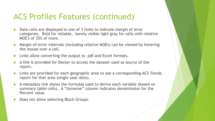## ACS Profiles Features (continued)

- Data cells are displayed in one of 3 fonts to indicate margin of error categories. Bold for reliable, barely visible light gray for cells with relative MOE's of 35% of more.
- Margin-of-error intervals (including relative MOEs) can be viewed by hovering the mouse over a cell.
- **Links allow converting the output to pdf and Excel formats.**
- A link is provided for Dexter to access the dataset used as source of the report.
- Links are provided for each geographic area to see a corresponding ACS Trends report for that area (single-year data).
- A metadata link shows the formulas used to derive each variable (based on summary table cells). A "Universe" column indicates denominator for the Percent value.
- Does not allow selecting Block Groups.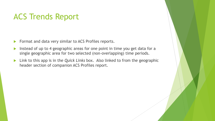## ACS Trends Report

- **Format and data very similar to ACS Profiles reports.**
- Instead of up to 4 geographic areas for one point in time you get data for a single geographic area for two selected (non-overlapping) time periods.
- Link to this app is in the *Quick Links* box. Also linked to from the geographic header section of companion ACS Profiles report.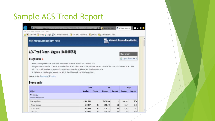## Sample ACS Trend Report

| <b>MCDC American Community Survey Profiles</b>                                                                                                                                                              |                                                                                                                                        |         |               |         | <b>Missouri Census Data Center</b> |         |
|-------------------------------------------------------------------------------------------------------------------------------------------------------------------------------------------------------------|----------------------------------------------------------------------------------------------------------------------------------------|---------|---------------|---------|------------------------------------|---------|
| ACS Trend Report: Virginia (04000US51)                                                                                                                                                                      |                                                                                                                                        |         |               |         | Other formats                      |         |
| <b>Usage notes</b>                                                                                                                                                                                          |                                                                                                                                        |         |               |         | Export data to Excel               |         |
|                                                                                                                                                                                                             | . Margins of error are also indicated by number font. BOLD values: MOE < 15%; NORMAL values: 15% ≤ MOE < 35%; LIGHT values: MOE ≥ 35%. |         |               |         |                                    |         |
| · Click the small chart icon next to a subtitle (below) to view chart(s) of selected data from that table.<br>· If the items in the Change column are in BOLD, the difference is statistically significant. |                                                                                                                                        |         |               |         |                                    |         |
|                                                                                                                                                                                                             | 2015                                                                                                                                   |         | 2011          |         | Change                             |         |
|                                                                                                                                                                                                             | <b>Number</b>                                                                                                                          | Percent | <b>Number</b> | Percent | <b>Number</b>                      | Percent |
|                                                                                                                                                                                                             |                                                                                                                                        |         |               |         |                                    |         |
|                                                                                                                                                                                                             | 8,382,993                                                                                                                              |         | 8,096,604     |         | 286,389                            | 3.54    |
| Jump to section: [Demographic] [Economic]<br><b>Demographic</b><br>Subject<br><b>D1. AGE</b><br>Universe: Total population<br>Total population<br>Under 5 years                                             | 510,917                                                                                                                                | 6.1     | 508,416       | 6.3     | 2,501                              | 0.49    |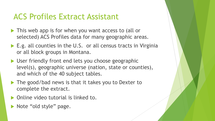## ACS Profiles Extract Assistant

- This web app is for when you want access to (all or selected) ACS Profiles data for many geographic areas.
- ▶ E.g. all counties in the U.S. or all census tracts in Virginia or all block groups in Montana.
- ▶ User friendly front end lets you choose geographic level(s), geographic universe (nation, state or counties), and which of the 40 subject tables.
- ▶ The good/bad news is that it takes you to Dexter to complete the extract.
- ▶ Online video tutorial is linked to.
- Note "old style" page.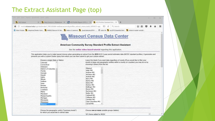#### The Extract Assistant Page (top)

| Erit yew History Excernance Room Help                                                                                                                             |                                                                                                                                                                                                                           |        | 0 | × |
|-------------------------------------------------------------------------------------------------------------------------------------------------------------------|---------------------------------------------------------------------------------------------------------------------------------------------------------------------------------------------------------------------------|--------|---|---|
| SAS Output                                                                                                                                                        | X   La http://medic.m 20labels.bd X   MCS Profile Report: 2015 / X   La ACS Profiles Standard Extr X   +                                                                                                                  |        |   |   |
| ← ① mcdc.missouri.edu/cgi-bin/broker? PROGRAM=websas.acsmcdcprofiles_extract_menu.sas&_SERVICE=ap; E2 @ Q Search                                                  |                                                                                                                                                                                                                           | ☆自     |   |   |
|                                                                                                                                                                   | A Most Visited 0, Uexplore/Dexter Hom D. MABLE/Geocorr14 Ver D. Index of /sastools D. /pub/data/acs2014 -  @ todo list D. acs2015/basetbls/Varl D. kidscnt master variabl                                                 |        |   |   |
|                                                                                                                                                                   | <b>Missouri Census Data Center</b><br><b>American Community Survey Standard Profile Extract Assistant</b>                                                                                                                 |        |   | ᆾ |
|                                                                                                                                                                   | See the online video-based tutorial regarding this application.                                                                                                                                                           |        |   |   |
| presents you with a custom Dexter query form which you can then submit to get your custom extract.<br>Choose a single State or Nation:<br>Colorado<br>Connecticut | Leave this blank if you want data regardless of county. If you would like to filter your<br>results to keep only geographic entities within a county (or counties) you may do so by<br>choosing it (them) from this list. |        |   |   |
| Delaware<br>District of Columbia<br>Florida<br>Georgia<br>Hawaii                                                                                                  | Missouri<br>$\sim$<br>Adair MO<br>Andrew MO<br>Atchison MO                                                                                                                                                                |        |   |   |
| Idaho<br>Illinois<br>Indiana                                                                                                                                      | Audrain MO<br>Barry MO<br>Barton MO<br>Bates MO                                                                                                                                                                           |        |   |   |
| Iowa<br>Kansas<br>Kentucky<br>Louisiana                                                                                                                           | Benton MO<br><b>Bollinger MO</b><br>Boone MO                                                                                                                                                                              |        |   |   |
| Maine<br>Maryland<br>Massachusetts<br>Michigan                                                                                                                    | Buchanan MO<br>Butler MO<br>Caldwell MO<br>Callaway MO                                                                                                                                                                    |        |   |   |
| Minnesota<br>Mississippi<br>Missouri                                                                                                                              | Camden MO<br>Cape Girardeau MO<br>Carroll MO                                                                                                                                                                              |        |   |   |
| Choose the geographic unit(s) ("summary levels")<br>for which you would like to extract data:                                                                     | Choose one or more variable groups (tables):                                                                                                                                                                              |        |   |   |
|                                                                                                                                                                   | SF1 items added by MCDC                                                                                                                                                                                                   | $\sim$ |   |   |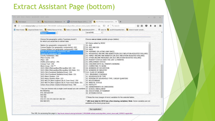### Extract Assistant Page (bottom)

| SAS Output | X TL http://mcdc.m 20labels.bd X TM ACS Profile Report: 2015 / X TL ACS Profiles Standard Extr X +                                                                                  |                                                                                                                                                                           |  |  |
|------------|-------------------------------------------------------------------------------------------------------------------------------------------------------------------------------------|---------------------------------------------------------------------------------------------------------------------------------------------------------------------------|--|--|
|            | 4 The model missouri.edu/cgi-bin/broker? PROGRAM=websas.acsmcdcprofiles_extract_menu.sas&_SERVICE=apt EQ (2)                                                                        | ☆ 自<br>Q Search                                                                                                                                                           |  |  |
|            |                                                                                                                                                                                     | 2 Most Visited 0, Uexplore/Dexter Hom 0, MABLE/Geocorr14 Ver 0, Index of /sastools 0, /pub/data/acs2014 -  6 todo list 0, acs2015/basetbls/Varl 0, kidscnt master variabl |  |  |
|            | <b>THUCHUMPIN</b><br><b>Missouri</b>                                                                                                                                                | Carroll MO                                                                                                                                                                |  |  |
|            | Choose the geographic unit(s) ("summary levels")                                                                                                                                    | Choose one or more variable groups (tables):                                                                                                                              |  |  |
|            | for which you would like to extract data:                                                                                                                                           | SF1 items added by MCDC                                                                                                                                                   |  |  |
|            | Nation (no geographic components) -010<br>Census Region (no geographic components) -020<br>Census Division (no geographic components) -030<br>State (no geographic components) -040 | D1. AGE<br>D2. AGE AND SEX<br>D3. RACE<br>D4. HISPANIC OR LATINO (ANY RACE)                                                                                               |  |  |
|            | County (or equivalent) -050<br>County Subdivision -060                                                                                                                              | E1. HOUSEHOLD INCOME AND BENEFITS(IN 2015 INFLATION-ADJUSTED DOLLARS)<br>E2. FAMILY INCOME AND BENEFITS (IN 2015 INFLATION-ADJUSTED DOLLARS)                              |  |  |
|            | Place-County -155<br>Place -160<br>PUMA (2010 defns) - 795                                                                                                                          | E3. OTHER INCOME MEASURES (IN 2015 INFLATION-ADJUSTED DOLLARS)<br>E4. POVERTY STATUS OVER THE LAST 12 MONTHS<br>E5. EMPLOYMENT STATUS                                     |  |  |
|            | Census Tract -140<br>Block Group -150 **<br>2015 CBSA (Metropolitan/Micropolitan SA) -310<br>2015 CBSA (Metropolitan/Micropolitan SA)-State -311                                    | E6. CHILDREN WITH ALL PARENTS WORKING<br>E7. COMMUTING TO WORK<br>EB. WORKERS BY OCCUPATION<br>E9. WORKERS BY INDUSTRY                                                    |  |  |
|            | 2015 CSA (Combined Statistical Area) -330<br>2015 CSA (Combined Statistical Area)-State -331<br>2015 Metro Division -314                                                            | E10. CLASS OF WORKER<br>E11. INSURANCE COVERAGE<br>S1. HOUSEHOLDS BY TYPE                                                                                                 |  |  |
|            | 2015 Metro Division-State -315<br>2015 NECTA (New England City & Town Area) -350<br>2015 NECTA (New England City & Town Area)-State -351                                            | S2. PERSONS BY HOUSEHOLD TYPE / GROUP QUARTERS<br>S3. RELATIONSHIP<br><b>S4. MARITAL STATUS</b>                                                                           |  |  |
|            | Urban Area (Urban Cluster/Urbanized Area) -400<br>* You can choose only a single Level except you can combine S7. SCHOOL ENROLLMENT                                                 | <b>SS. FERTILITY</b><br>S6. GRANDPARENTS AS CAREGIVERS                                                                                                                    |  |  |
|            | the following:<br>010, 020 and 030<br>040 050                                                                                                                                       | S8. EDUCATIONAL ATTAINMENT<br>S9. VETERAN STATUS                                                                                                                          |  |  |
|            | 155 160<br>310 311 314 315 330 331 350 351                                                                                                                                          | Keep the moe (margin of error) variables for the selected tables.                                                                                                         |  |  |
|            | 950 960 970                                                                                                                                                                         | ** (BG level data for 2015 has a few missing variables). Note: Some variables are not<br>available at the block group level.                                              |  |  |

Run application

 $\ddot{ }$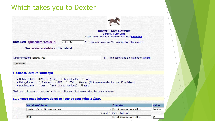### Which takes you to Dexter



**Dexter -- Data Extracter** Dexter Quick Start Guide Section headers are links to the relevant sections of **online help**.

Data Set: /pub/data/acs2015 -

: . rows/observations, 998 columns/variables (appx)

See detailed metadata for this dataset.

|  |  |  | Rankster option: Not interested |
|--|--|--|---------------------------------|
|--|--|--|---------------------------------|

-or- skip dexter and go straight to rankster

 $\checkmark$ 

Quick Look

#### I. Choose Output Format(s)

- · Delimited File: Comma ("csv") OTab-delimited Onone
- O none (Not recommended for over 30 variables) O Plain text O PDF OHTML • Listing/Report:
- · Database File: ODBF OSAS dataset (Windows)  $\bullet$  none

Check here  $\Box$  if requesting only a report in plain text or html format that you want piped directly to your browser.

usstcnty5yr

#### II. Choose rows (observations) to keep by specifying a filter.

| <b>Variable/Column</b>            | <b>Operator</b>                          |    | <b>Value</b> |
|-----------------------------------|------------------------------------------|----|--------------|
| SumLev - Geographic Summary Level | $\vee$ In List (Separate items with :)   |    | 040:050      |
|                                   | $\bullet$ And $\circ$ Or $\circ$ And Not |    |              |
| State                             | $\vee$   In List (Separate items with :) | 29 |              |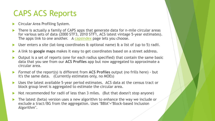## CAPS ACS Reports

- Circular Area Profiling System.
- There is actually a family of CAPS apps that generate data for n-mile circular areas for various sets of data (2000 STF3, 2010 STF1, ACS latest vintage 5-year estimates). The apps link to one another. A [capsindex](http://mcdc.missouri.edu/websas/capsindex.shtml) page lets you choose.
- User enters a site (lat-long coordinates & optional name) & a list of (up to 5) radii.
- A link to **google maps** makes it easy to get coordinates based on a street address.
- Output is a set of reports (one for each radius specified) that contain the same basic data that you see from our **ACS Profiles** app but now aggregated to approximate a circular area.
- *Format* of the report(s) is different from **ACS Profiles** output (no frills here) but it's the same data. (Currently estimates only, no MOEs)
- Uses the latest available 5-year period estimates. ACS data at the census tract or block group level is aggregated to estimate the circular area.
- Not recommended for radii of less than 3 miles. (But that doesn't stop anyone)
- The latest (beta) version uses a new algorithm to enhance the way we include or exclude a tract/BG from the aggregation. Uses "BBIA"="Block-based Inclusion Algorithm".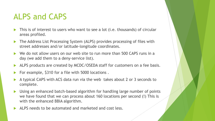## ALPS and CAPS

- This is of interest to users who want to see a lot (i.e. thousands) of circular areas profiled.
- The Address List Processing System (ALPS) provides processing of files with street addresses and/or latitude-longitude coordinates.
- We do not allow users on our web site to run more than 500 CAPS runs in a day (we add them to a deny-service list).
- ALPS products are created by MCDC/OSEDA staff for customers on a fee basis.
- For example, \$310 for a file with 5000 locations .
- A typical CAPS with ACS data run via the web takes about 2 or 3 seconds to complete.
- Using an enhanced batch-based algorithm for handling large number of points we have found that we can process about 160 locations per second (!) This is with the enhanced BBIA algorithm.
- ALPS needs to be automated and marketed and cost less.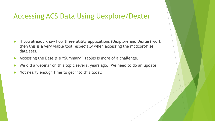### Accessing ACS Data Using Uexplore/Dexter

- If you already know how these utility applications (Uexplore and Dexter) work then this is a very viable tool, especially when accessing the mcdcprofiles data sets.
- Accessing the Base (i.e "Summary") tables is more of a challenge.
- We did a webinar on this topic several years ago. We need to do an update.
- Not nearly enough time to get into this today.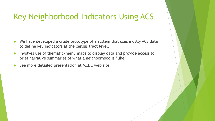## Key Neighborhood Indicators Using ACS

- ▶ We have developed a crude prototype of a system that uses mostly ACS data to define key indicators at the census tract level.
- Involves use of thematic/menu maps to display data and provide access to brief narrative summaries of what a neighborhood is "like".
- $\triangleright$  See more detailed presentation at MCDC web site.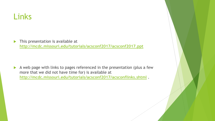## Links

**This presentation is available at <http://mcdc.missouri.edu/tutorials/acsconf2017/acsconf2017.ppt>**

A web page with links to pages referenced in the presentation (plus a few more that we did not have time for) is available at **<http://mcdc.missouri.edu/tutorials/acsconf2017/acsconflinks.shtml>** .